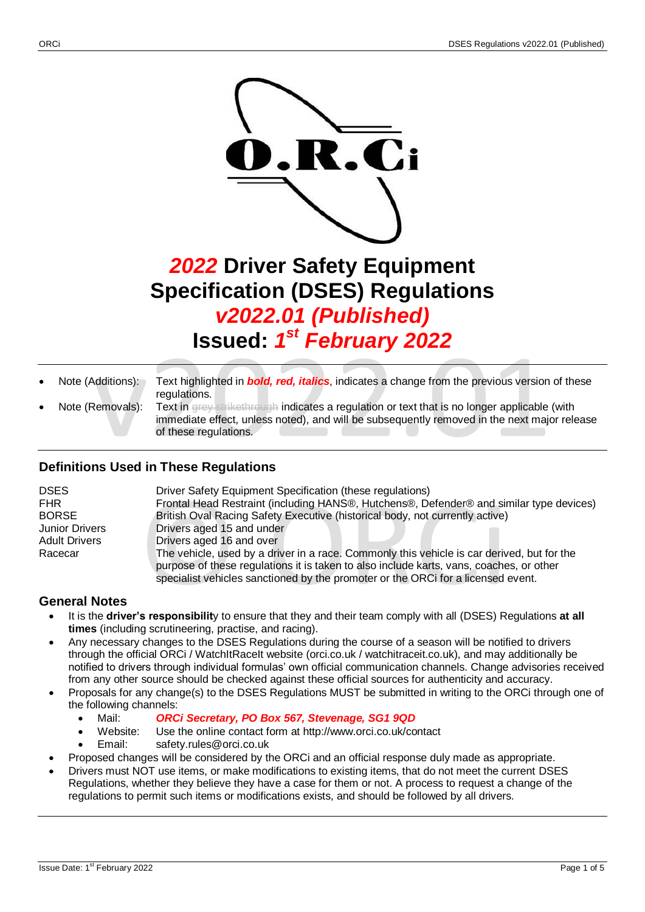

*2022* **Driver Safety Equipment Specification (DSES) Regulations** *v2022.01 (Published)* **Issued:** *1 st February 2022*

- Note (Additions): Text highlighted in *bold, red, italics*, indicates a change from the previous version of these regulations.
- Note (Removals): Text in grey strikethrough indicates a regulation or text that is no longer applicable (with immediate effect, unless noted), and will be subsequently removed in the next major release of these regulations.

# **Definitions Used in These Regulations**

| <b>DSES</b>           | Driver Safety Equipment Specification (these regulations)                                  |
|-----------------------|--------------------------------------------------------------------------------------------|
| <b>FHR</b>            | Frontal Head Restraint (including HANS®, Hutchens®, Defender® and similar type devices)    |
| <b>BORSE</b>          | British Oval Racing Safety Executive (historical body, not currently active)               |
| <b>Junior Drivers</b> | Drivers aged 15 and under                                                                  |
| <b>Adult Drivers</b>  | Drivers aged 16 and over                                                                   |
| Racecar               | The vehicle, used by a driver in a race. Commonly this vehicle is car derived, but for the |
|                       | purpose of these regulations it is taken to also include karts, vans, coaches, or other    |
|                       | specialist vehicles sanctioned by the promoter or the ORCi for a licensed event.           |

# **General Notes**

- It is the **driver's responsibilit**y to ensure that they and their team comply with all (DSES) Regulations **at all times** (including scrutineering, practise, and racing).
- Any necessary changes to the DSES Regulations during the course of a season will be notified to drivers through the official ORCi / WatchItRaceIt website (orci.co.uk / watchitraceit.co.uk), and may additionally be notified to drivers through individual formulas' own official communication channels. Change advisories received from any other source should be checked against these official sources for authenticity and accuracy.
- Proposals for any change(s) to the DSES Regulations MUST be submitted in writing to the ORCi through one of the following channels:
	- Mail: *ORCi Secretary, PO Box 567, Stevenage, SG1 9QD*
	- Website: Use the online contact form at http://www.orci.co.uk/contact
	- Email: safety.rules@orci.co.uk
- Proposed changes will be considered by the ORCi and an official response duly made as appropriate.
- Drivers must NOT use items, or make modifications to existing items, that do not meet the current DSES Regulations, whether they believe they have a case for them or not. A process to request a change of the regulations to permit such items or modifications exists, and should be followed by all drivers.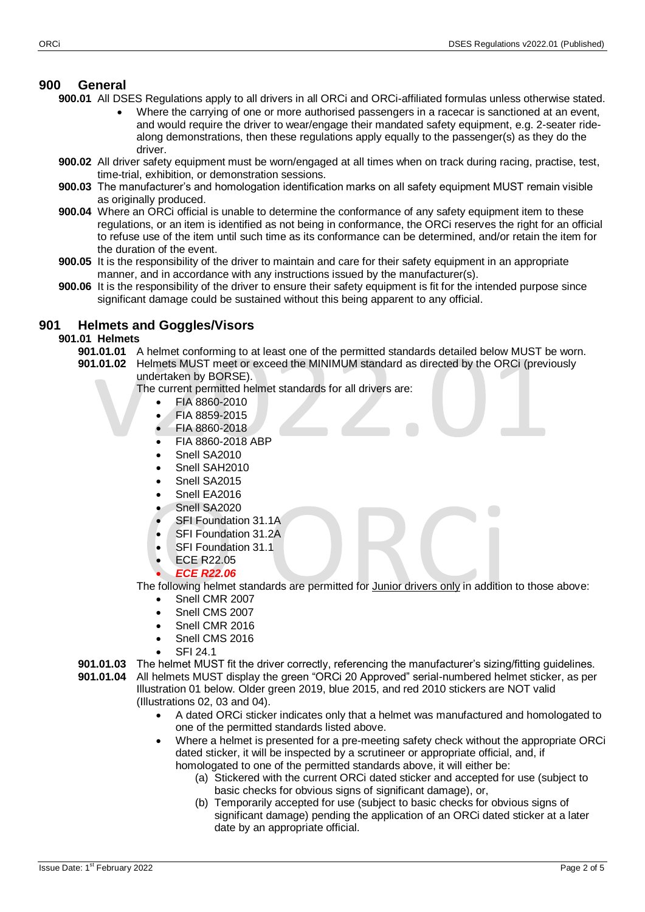## **900 General**

**900.01** All DSES Regulations apply to all drivers in all ORCi and ORCi-affiliated formulas unless otherwise stated.

- Where the carrying of one or more authorised passengers in a racecar is sanctioned at an event, and would require the driver to wear/engage their mandated safety equipment, e.g. 2-seater ridealong demonstrations, then these regulations apply equally to the passenger(s) as they do the driver.
- **900.02** All driver safety equipment must be worn/engaged at all times when on track during racing, practise, test, time-trial, exhibition, or demonstration sessions.
- **900.03** The manufacturer's and homologation identification marks on all safety equipment MUST remain visible as originally produced.
- **900.04** Where an ORCi official is unable to determine the conformance of any safety equipment item to these regulations, or an item is identified as not being in conformance, the ORCi reserves the right for an official to refuse use of the item until such time as its conformance can be determined, and/or retain the item for the duration of the event.
- **900.05** It is the responsibility of the driver to maintain and care for their safety equipment in an appropriate manner, and in accordance with any instructions issued by the manufacturer(s).
- **900.06** It is the responsibility of the driver to ensure their safety equipment is fit for the intended purpose since significant damage could be sustained without this being apparent to any official.

## **901 Helmets and Goggles/Visors**

## **901.01 Helmets**

- **901.01.01** A helmet conforming to at least one of the permitted standards detailed below MUST be worn.
- **901.01.02** Helmets MUST meet or exceed the MINIMUM standard as directed by the ORCi (previously undertaken by BORSE).

The current permitted helmet standards for all drivers are:

- FIA 8860-2010
- FIA 8859-2015
- FIA 8860-2018
- FIA 8860-2018 ABP
- Snell SA2010
- Snell SAH2010
- Snell SA2015
- Snell EA2016
- Snell SA2020
- SFI Foundation 31.1A
- SFI Foundation 31.2A
- SFI Foundation 31.1
- ECE R22.05
- *ECE R22.06*

The following helmet standards are permitted for Junior drivers only in addition to those above:

- Snell CMR 2007
- Snell CMS 2007
- Snell CMR 2016
- Snell CMS 2016
- SFI 24.1
- **901.01.03** The helmet MUST fit the driver correctly, referencing the manufacturer's sizing/fitting guidelines. **901.01.04** All helmets MUST display the green "ORCi 20 Approved" serial-numbered helmet sticker, as per
	- Illustration 01 below. Older green 2019, blue 2015, and red 2010 stickers are NOT valid (Illustrations 02, 03 and 04).
		- A dated ORCi sticker indicates only that a helmet was manufactured and homologated to one of the permitted standards listed above.
		- Where a helmet is presented for a pre-meeting safety check without the appropriate ORCi dated sticker, it will be inspected by a scrutineer or appropriate official, and, if homologated to one of the permitted standards above, it will either be:
			- (a) Stickered with the current ORCi dated sticker and accepted for use (subject to basic checks for obvious signs of significant damage), or,
			- (b) Temporarily accepted for use (subject to basic checks for obvious signs of significant damage) pending the application of an ORCi dated sticker at a later date by an appropriate official.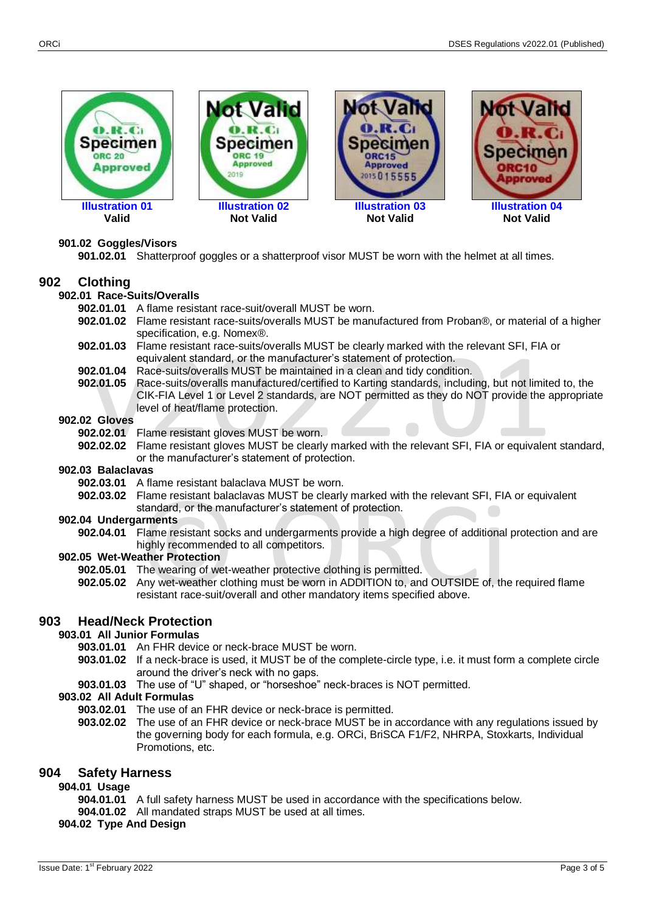

## **901.02 Goggles/Visors**

**901.02.01** Shatterproof goggles or a shatterproof visor MUST be worn with the helmet at all times.

## **902 Clothing**

## **902.01 Race-Suits/Overalls**

- **902.01.01** A flame resistant race-suit/overall MUST be worn.
- **902.01.02** Flame resistant race-suits/overalls MUST be manufactured from Proban®, or material of a higher specification, e.g. Nomex®.
- **902.01.03** Flame resistant race-suits/overalls MUST be clearly marked with the relevant SFI, FIA or equivalent standard, or the manufacturer's statement of protection.
- **902.01.04** Race-suits/overalls MUST be maintained in a clean and tidy condition.
- **902.01.05** Race-suits/overalls manufactured/certified to Karting standards, including, but not limited to, the CIK-FIA Level 1 or Level 2 standards, are NOT permitted as they do NOT provide the appropriate level of heat/flame protection.

#### **902.02 Gloves**

- **902.02.01** Flame resistant gloves MUST be worn.
- **902.02.02** Flame resistant gloves MUST be clearly marked with the relevant SFI, FIA or equivalent standard, or the manufacturer's statement of protection.

#### **902.03 Balaclavas**

- **902.03.01** A flame resistant balaclava MUST be worn.
- **902.03.02** Flame resistant balaclavas MUST be clearly marked with the relevant SFI, FIA or equivalent standard, or the manufacturer's statement of protection.

#### **902.04 Undergarments**

**902.04.01** Flame resistant socks and undergarments provide a high degree of additional protection and are highly recommended to all competitors.

#### **902.05 Wet-Weather Protection**

- **902.05.01** The wearing of wet-weather protective clothing is permitted.
- **902.05.02** Any wet-weather clothing must be worn in ADDITION to, and OUTSIDE of, the required flame resistant race-suit/overall and other mandatory items specified above.

## **903 Head/Neck Protection**

## **903.01 All Junior Formulas**

- **903.01.01** An FHR device or neck-brace MUST be worn.
- **903.01.02** If a neck-brace is used, it MUST be of the complete-circle type, i.e. it must form a complete circle around the driver's neck with no gaps.
- **903.01.03** The use of "U" shaped, or "horseshoe" neck-braces is NOT permitted.

## **903.02 All Adult Formulas**

- **903.02.01** The use of an FHR device or neck-brace is permitted.
- **903.02.02** The use of an FHR device or neck-brace MUST be in accordance with any regulations issued by the governing body for each formula, e.g. ORCi, BriSCA F1/F2, NHRPA, Stoxkarts, Individual Promotions, etc.

## **904 Safety Harness**

**904.01 Usage**

- **904.01.01** A full safety harness MUST be used in accordance with the specifications below.
- **904.01.02** All mandated straps MUST be used at all times.

## **904.02 Type And Design**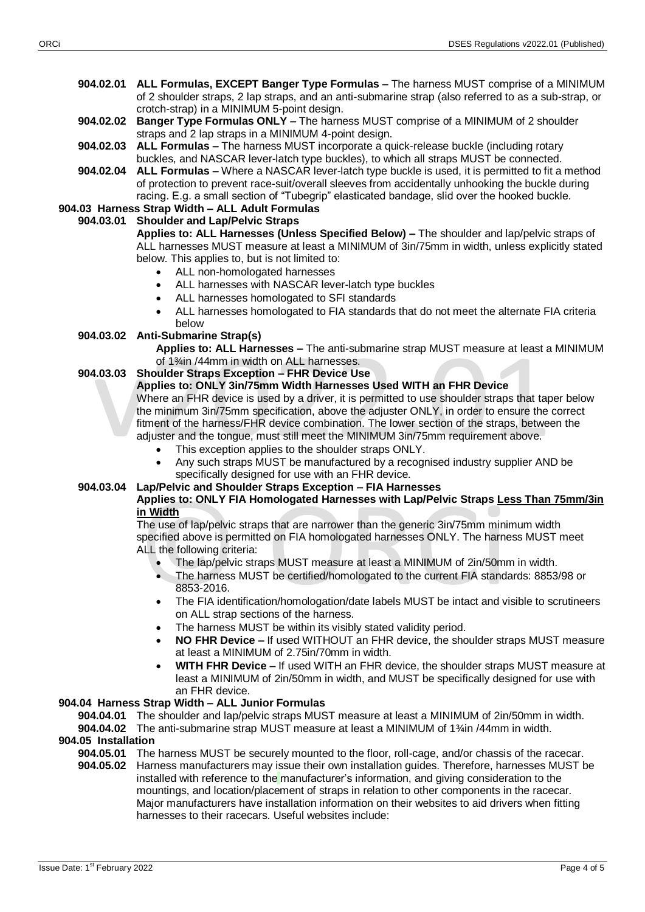- **904.02.01 ALL Formulas, EXCEPT Banger Type Formulas –** The harness MUST comprise of a MINIMUM of 2 shoulder straps, 2 lap straps, and an anti-submarine strap (also referred to as a sub-strap, or crotch-strap) in a MINIMUM 5-point design.
- **904.02.02 Banger Type Formulas ONLY –** The harness MUST comprise of a MINIMUM of 2 shoulder straps and 2 lap straps in a MINIMUM 4-point design.
- **904.02.03 ALL Formulas –** The harness MUST incorporate a quick-release buckle (including rotary buckles, and NASCAR lever-latch type buckles), to which all straps MUST be connected.
- **904.02.04 ALL Formulas –** Where a NASCAR lever-latch type buckle is used, it is permitted to fit a method of protection to prevent race-suit/overall sleeves from accidentally unhooking the buckle during racing. E.g. a small section of "Tubegrip" elasticated bandage, slid over the hooked buckle.

# **904.03 Harness Strap Width – ALL Adult Formulas**

## **904.03.01 Shoulder and Lap/Pelvic Straps**

**Applies to: ALL Harnesses (Unless Specified Below) –** The shoulder and lap/pelvic straps of ALL harnesses MUST measure at least a MINIMUM of 3in/75mm in width, unless explicitly stated below. This applies to, but is not limited to:

- ALL non-homologated harnesses
- ALL harnesses with NASCAR lever-latch type buckles
- ALL harnesses homologated to SFI standards
- ALL harnesses homologated to FIA standards that do not meet the alternate FIA criteria below

## **904.03.02 Anti-Submarine Strap(s)**

**Applies to: ALL Harnesses –** The anti-submarine strap MUST measure at least a MINIMUM of 1¾in /44mm in width on ALL harnesses.

## **904.03.03 Shoulder Straps Exception – FHR Device Use**

## **Applies to: ONLY 3in/75mm Width Harnesses Used WITH an FHR Device**

Where an FHR device is used by a driver, it is permitted to use shoulder straps that taper below the minimum 3in/75mm specification, above the adjuster ONLY, in order to ensure the correct fitment of the harness/FHR device combination. The lower section of the straps, between the adjuster and the tongue, must still meet the MINIMUM 3in/75mm requirement above.

- This exception applies to the shoulder straps ONLY.
- Any such straps MUST be manufactured by a recognised industry supplier AND be specifically designed for use with an FHR device.

# **904.03.04 Lap/Pelvic and Shoulder Straps Exception – FIA Harnesses**

## **Applies to: ONLY FIA Homologated Harnesses with Lap/Pelvic Straps Less Than 75mm/3in in Width**

The use of lap/pelvic straps that are narrower than the generic 3in/75mm minimum width specified above is permitted on FIA homologated harnesses ONLY. The harness MUST meet ALL the following criteria:

- The lap/pelvic straps MUST measure at least a MINIMUM of 2in/50mm in width.
- The harness MUST be certified/homologated to the current FIA standards: 8853/98 or 8853-2016.
- The FIA identification/homologation/date labels MUST be intact and visible to scrutineers on ALL strap sections of the harness.
- The harness MUST be within its visibly stated validity period.
- **NO FHR Device –** If used WITHOUT an FHR device, the shoulder straps MUST measure at least a MINIMUM of 2.75in/70mm in width.
- **WITH FHR Device –** If used WITH an FHR device, the shoulder straps MUST measure at least a MINIMUM of 2in/50mm in width, and MUST be specifically designed for use with an FHR device.

## **904.04 Harness Strap Width – ALL Junior Formulas**

**904.04.01** The shoulder and lap/pelvic straps MUST measure at least a MINIMUM of 2in/50mm in width.

**904.04.02** The anti-submarine strap MUST measure at least a MINIMUM of 1¾in /44mm in width.

# **904.05 Installation**

- **904.05.01** The harness MUST be securely mounted to the floor, roll-cage, and/or chassis of the racecar.
- **904.05.02** Harness manufacturers may issue their own installation guides. Therefore, harnesses MUST be installed with reference to the manufacturer's information, and giving consideration to the mountings, and location/placement of straps in relation to other components in the racecar. Major manufacturers have installation information on their websites to aid drivers when fitting harnesses to their racecars. Useful websites include: